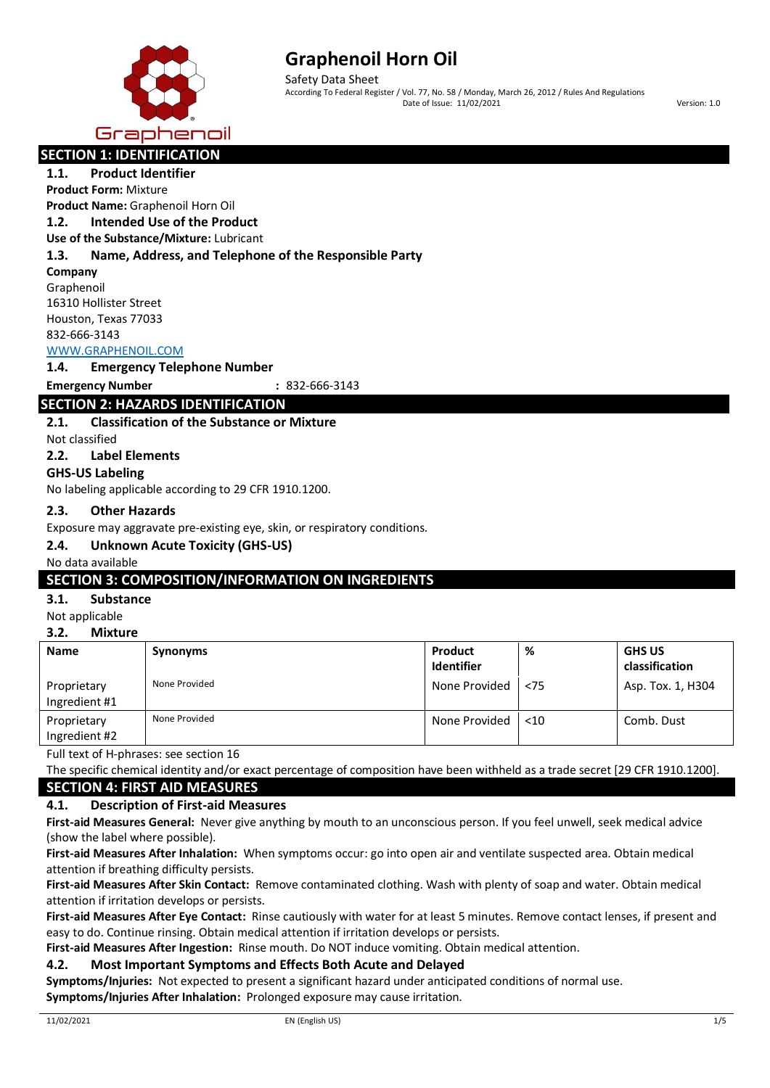

Safety Data Sheet According To Federal Register / Vol. 77, No. 58 / Monday, March 26, 2012 / Rules And Regulations Date of Issue: 11/02/2021 Version: 1.0

## **SECTION 1: IDENTIFICATION**

**1.1. Product Identifier Product Form:** Mixture

**Product Name:** Graphenoil Horn Oil

## **1.2. Intended Use of the Product**

**Use of the Substance/Mixture:** Lubricant

## **1.3. Name, Address, and Telephone of the Responsible Party**

### **Company**

Graphenoil 16310 Hollister Street Houston, Texas 77033 832-666-3143

## [WWW.GRAPHENOIL.COM](http://www.graphenoil.com/)

## **1.4. Emergency Telephone Number**

**Emergency Number :** 832-666-3143

## **SECTION 2: HAZARDS IDENTIFICATION**

## **2.1. Classification of the Substance or Mixture**

Not classified

## **2.2. Label Elements**

## **GHS-US Labeling**

No labeling applicable according to 29 CFR 1910.1200.

## **2.3. Other Hazards**

Exposure may aggravate pre-existing eye, skin, or respiratory conditions.

## **2.4. Unknown Acute Toxicity (GHS-US)**

## No data available

## **SECTION 3: COMPOSITION/INFORMATION ON INGREDIENTS**

## **3.1. Substance**

Not applicable

#### **3.2. Mixture**

| <b>Name</b>                  | <b>Synonyms</b> | Product<br><b>Identifier</b> | %      | <b>GHS US</b><br>classification |
|------------------------------|-----------------|------------------------------|--------|---------------------------------|
| Proprietary<br>Ingredient #1 | None Provided   | None Provided                | < 75   | Asp. Tox. 1, H304               |
| Proprietary<br>Ingredient #2 | None Provided   | None Provided                | $<$ 10 | Comb. Dust                      |

Full text of H-phrases: see section 16

The specific chemical identity and/or exact percentage of composition have been withheld as a trade secret [29 CFR 1910.1200]. **SECTION 4: FIRST AID MEASURES**

## **4.1. Description of First-aid Measures**

**First-aid Measures General:** Never give anything by mouth to an unconscious person. If you feel unwell, seek medical advice (show the label where possible).

**First-aid Measures After Inhalation:** When symptoms occur: go into open air and ventilate suspected area. Obtain medical attention if breathing difficulty persists.

**First-aid Measures After Skin Contact:** Remove contaminated clothing. Wash with plenty of soap and water. Obtain medical attention if irritation develops or persists.

**First-aid Measures After Eye Contact:** Rinse cautiously with water for at least 5 minutes. Remove contact lenses, if present and easy to do. Continue rinsing. Obtain medical attention if irritation develops or persists.

**First-aid Measures After Ingestion:** Rinse mouth. Do NOT induce vomiting. Obtain medical attention.

## **4.2. Most Important Symptoms and Effects Both Acute and Delayed**

**Symptoms/Injuries:** Not expected to present a significant hazard under anticipated conditions of normal use. **Symptoms/Injuries After Inhalation:** Prolonged exposure may cause irritation.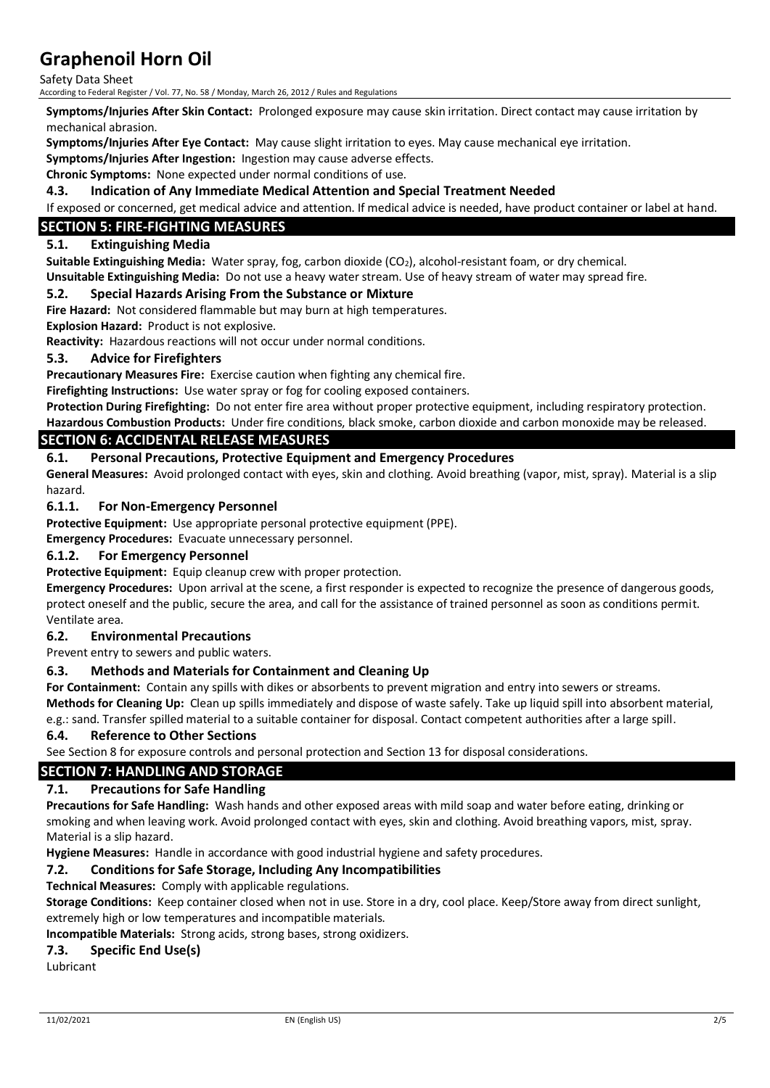Safety Data Sheet

According to Federal Register / Vol. 77, No. 58 / Monday, March 26, 2012 / Rules and Regulations

**Symptoms/Injuries After Skin Contact:** Prolonged exposure may cause skin irritation. Direct contact may cause irritation by mechanical abrasion.

**Symptoms/Injuries After Eye Contact:** May cause slight irritation to eyes. May cause mechanical eye irritation.

**Symptoms/Injuries After Ingestion:** Ingestion may cause adverse effects.

**Chronic Symptoms:** None expected under normal conditions of use.

#### **4.3. Indication of Any Immediate Medical Attention and Special Treatment Needed**

If exposed or concerned, get medical advice and attention. If medical advice is needed, have product container or label at hand.

## **SECTION 5: FIRE-FIGHTING MEASURES**

#### **5.1. Extinguishing Media**

**Suitable Extinguishing Media:** Water spray, fog, carbon dioxide (CO2), alcohol-resistant foam, or dry chemical.

**Unsuitable Extinguishing Media:** Do not use a heavy water stream. Use of heavy stream of water may spread fire.

#### **5.2. Special Hazards Arising From the Substance or Mixture**

**Fire Hazard:** Not considered flammable but may burn at high temperatures.

**Explosion Hazard:** Product is not explosive.

**Reactivity:** Hazardous reactions will not occur under normal conditions.

#### **5.3. Advice for Firefighters**

**Precautionary Measures Fire:** Exercise caution when fighting any chemical fire.

**Firefighting Instructions:** Use water spray or fog for cooling exposed containers.

**Protection During Firefighting:** Do not enter fire area without proper protective equipment, including respiratory protection.

**Hazardous Combustion Products:** Under fire conditions, black smoke, carbon dioxide and carbon monoxide may be released.

## **SECTION 6: ACCIDENTAL RELEASE MEASURES**

#### **6.1. Personal Precautions, Protective Equipment and Emergency Procedures**

**General Measures:** Avoid prolonged contact with eyes, skin and clothing. Avoid breathing (vapor, mist, spray). Material is a slip hazard.

#### **6.1.1. For Non-Emergency Personnel**

**Protective Equipment:** Use appropriate personal protective equipment (PPE).

**Emergency Procedures:** Evacuate unnecessary personnel.

#### **6.1.2. For Emergency Personnel**

**Protective Equipment:** Equip cleanup crew with proper protection.

**Emergency Procedures:** Upon arrival at the scene, a first responder is expected to recognize the presence of dangerous goods, protect oneself and the public, secure the area, and call for the assistance of trained personnel as soon as conditions permit. Ventilate area.

#### **6.2. Environmental Precautions**

Prevent entry to sewers and public waters.

#### **6.3. Methods and Materials for Containment and Cleaning Up**

**For Containment:** Contain any spills with dikes or absorbents to prevent migration and entry into sewers or streams. **Methods for Cleaning Up:** Clean up spills immediately and dispose of waste safely. Take up liquid spill into absorbent material, e.g.: sand. Transfer spilled material to a suitable container for disposal. Contact competent authorities after a large spill.

#### **6.4. Reference to Other Sections**

See Section 8 for exposure controls and personal protection and Section 13 for disposal considerations.

## **SECTION 7: HANDLING AND STORAGE**

#### **7.1. Precautions for Safe Handling**

**Precautions for Safe Handling:** Wash hands and other exposed areas with mild soap and water before eating, drinking or smoking and when leaving work. Avoid prolonged contact with eyes, skin and clothing. Avoid breathing vapors, mist, spray. Material is a slip hazard.

**Hygiene Measures:** Handle in accordance with good industrial hygiene and safety procedures.

## **7.2. Conditions for Safe Storage, Including Any Incompatibilities**

**Technical Measures:** Comply with applicable regulations.

**Storage Conditions:** Keep container closed when not in use. Store in a dry, cool place. Keep/Store away from direct sunlight, extremely high or low temperatures and incompatible materials.

#### **Incompatible Materials:** Strong acids, strong bases, strong oxidizers.

#### **7.3. Specific End Use(s)**

Lubricant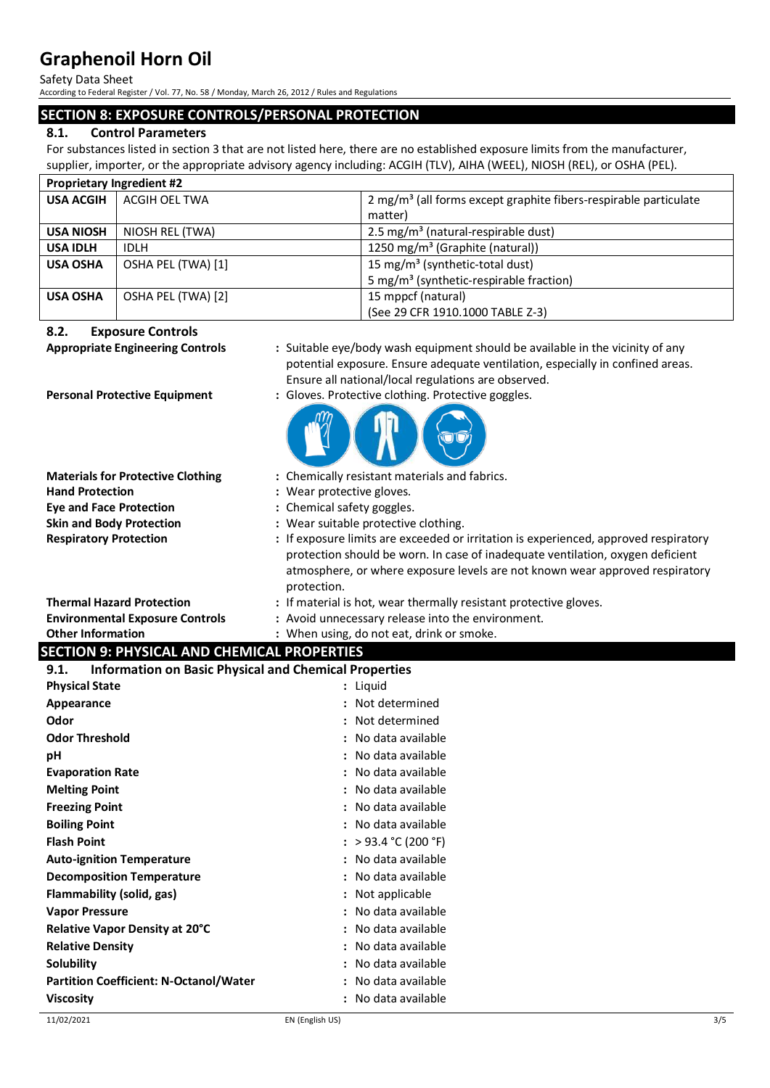Safety Data Sheet

According to Federal Register / Vol. 77, No. 58 / Monday, March 26, 2012 / Rules and Regulations

## **SECTION 8: EXPOSURE CONTROLS/PERSONAL PROTECTION**

## **8.1. Control Parameters**

For substances listed in section 3 that are not listed here, there are no established exposure limits from the manufacturer, supplier, importer, or the appropriate advisory agency including: ACGIH (TLV), AIHA (WEEL), NIOSH (REL), or OSHA (PEL).

| <b>Proprietary Ingredient #2</b> |                    |                                                                                |
|----------------------------------|--------------------|--------------------------------------------------------------------------------|
| <b>USA ACGIH</b>                 | ACGIH OEL TWA      | $2$ mg/m <sup>3</sup> (all forms except graphite fibers-respirable particulate |
|                                  |                    | matter)                                                                        |
| <b>USA NIOSH</b>                 | NIOSH REL (TWA)    | 2.5 mg/m <sup>3</sup> (natural-respirable dust)                                |
| <b>USA IDLH</b>                  | <b>IDLH</b>        | 1250 mg/m <sup>3</sup> (Graphite (natural))                                    |
| <b>USA OSHA</b>                  | OSHA PEL (TWA) [1] | 15 mg/m <sup>3</sup> (synthetic-total dust)                                    |
|                                  |                    | 5 mg/m <sup>3</sup> (synthetic-respirable fraction)                            |
| <b>USA OSHA</b>                  | OSHA PEL (TWA) [2] | 15 mppcf (natural)                                                             |
|                                  |                    | (See 29 CFR 1910.1000 TABLE Z-3)                                               |

## **8.2. Exposure Controls**

**Appropriate Engineering Controls :** Suitable eye/body wash equipment should be available in the vicinity of any potential exposure. Ensure adequate ventilation, especially in confined areas. Ensure all national/local regulations are observed.

**Personal Protective Equipment** : Gloves. Protective clothing. Protective goggles.



| <b>Materials for Protective Clothing</b><br><b>Hand Protection</b><br><b>Eye and Face Protection</b><br><b>Skin and Body Protection</b><br><b>Respiratory Protection</b> | : Chemically resistant materials and fabrics.<br>: Wear protective gloves.<br>: Chemical safety goggles.<br>: Wear suitable protective clothing.<br>: If exposure limits are exceeded or irritation is experienced, approved respiratory<br>protection should be worn. In case of inadequate ventilation, oxygen deficient |
|--------------------------------------------------------------------------------------------------------------------------------------------------------------------------|----------------------------------------------------------------------------------------------------------------------------------------------------------------------------------------------------------------------------------------------------------------------------------------------------------------------------|
|                                                                                                                                                                          | atmosphere, or where exposure levels are not known wear approved respiratory<br>protection.                                                                                                                                                                                                                                |
| <b>Thermal Hazard Protection</b>                                                                                                                                         | : If material is hot, wear thermally resistant protective gloves.                                                                                                                                                                                                                                                          |
| <b>Environmental Exposure Controls</b>                                                                                                                                   | : Avoid unnecessary release into the environment.                                                                                                                                                                                                                                                                          |
| <b>Other Information</b>                                                                                                                                                 | : When using, do not eat, drink or smoke.                                                                                                                                                                                                                                                                                  |
| <b>SECTION 9: PHYSICAL AND CHEMICAL PROPERTIES</b>                                                                                                                       |                                                                                                                                                                                                                                                                                                                            |
| 9.1.<br><b>Information on Basic Physical and Chemical Properties</b>                                                                                                     |                                                                                                                                                                                                                                                                                                                            |
| <b>Physical State</b>                                                                                                                                                    | : Liquid                                                                                                                                                                                                                                                                                                                   |
| Appearance                                                                                                                                                               | : Not determined                                                                                                                                                                                                                                                                                                           |
| Odor                                                                                                                                                                     | : Not determined                                                                                                                                                                                                                                                                                                           |
| <b>Odor Threshold</b>                                                                                                                                                    | : No data available                                                                                                                                                                                                                                                                                                        |
| рH                                                                                                                                                                       | : No data available                                                                                                                                                                                                                                                                                                        |
| <b>Evaporation Rate</b>                                                                                                                                                  | : No data available                                                                                                                                                                                                                                                                                                        |
| <b>Melting Point</b>                                                                                                                                                     | : No data available                                                                                                                                                                                                                                                                                                        |
| <b>Freezing Point</b>                                                                                                                                                    | : No data available                                                                                                                                                                                                                                                                                                        |
| <b>Boiling Point</b>                                                                                                                                                     | : No data available                                                                                                                                                                                                                                                                                                        |
| <b>Flash Point</b>                                                                                                                                                       | : > 93.4 °C (200 °F)                                                                                                                                                                                                                                                                                                       |
| <b>Auto-ignition Temperature</b>                                                                                                                                         | : No data available                                                                                                                                                                                                                                                                                                        |
| <b>Decomposition Temperature</b>                                                                                                                                         | : No data available                                                                                                                                                                                                                                                                                                        |
| Flammability (solid, gas)                                                                                                                                                | : Not applicable                                                                                                                                                                                                                                                                                                           |
| <b>Vapor Pressure</b>                                                                                                                                                    | : No data available                                                                                                                                                                                                                                                                                                        |
| Relative Vapor Density at 20°C                                                                                                                                           | : No data available                                                                                                                                                                                                                                                                                                        |
| <b>Relative Density</b>                                                                                                                                                  | : No data available                                                                                                                                                                                                                                                                                                        |
| Solubility                                                                                                                                                               | : No data available                                                                                                                                                                                                                                                                                                        |
| <b>Partition Coefficient: N-Octanol/Water</b>                                                                                                                            | : No data available                                                                                                                                                                                                                                                                                                        |
| <b>Viscosity</b>                                                                                                                                                         | : No data available                                                                                                                                                                                                                                                                                                        |
| 11/02/2021                                                                                                                                                               | 3/5<br>EN (English US)                                                                                                                                                                                                                                                                                                     |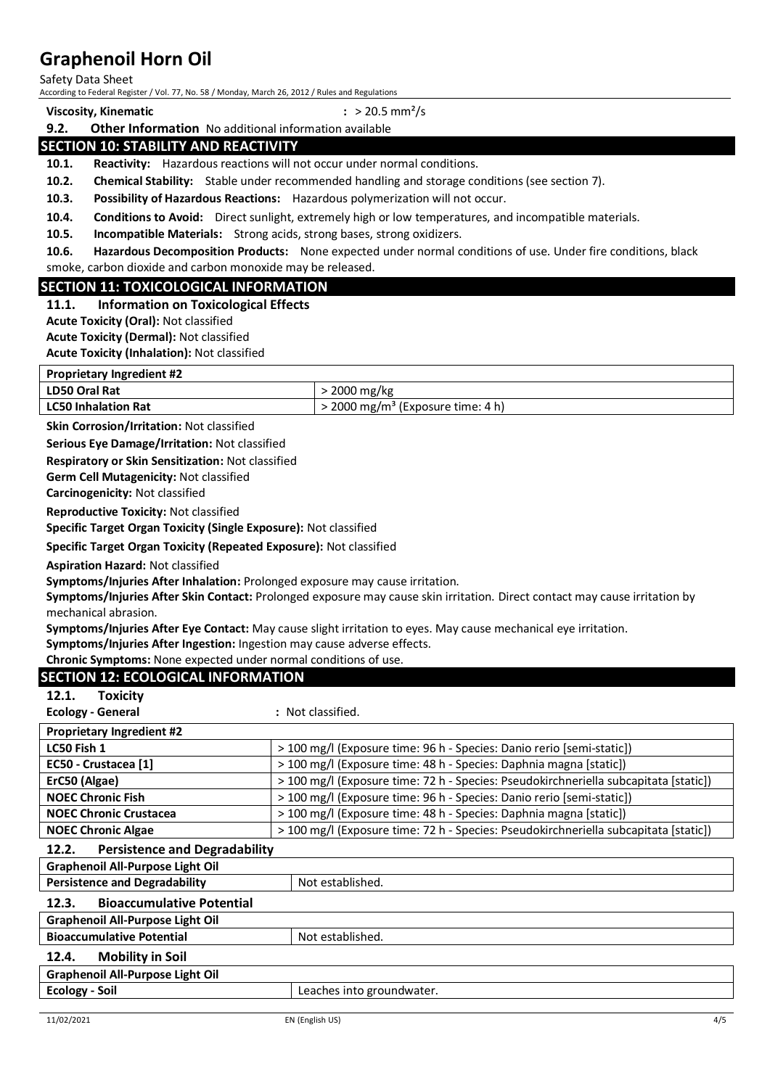Safety Data Sheet

According to Federal Register / Vol. 77, No. 58 / Monday, March 26, 2012 / Rules and Regulations

**Viscosity, Kinematic :** > 20.5 mm²/s

## **9.2. Other Information** No additional information available **SECTION 10: STABILITY AND REACTIVITY**

**10.1. Reactivity:** Hazardous reactions will not occur under normal conditions.

**10.2. Chemical Stability:** Stable under recommended handling and storage conditions (see section 7).

**10.3. Possibility of Hazardous Reactions:** Hazardous polymerization will not occur.

**10.4. Conditions to Avoid:** Direct sunlight, extremely high or low temperatures, and incompatible materials.

**10.5. Incompatible Materials:** Strong acids, strong bases, strong oxidizers.

**10.6. Hazardous Decomposition Products:** None expected under normal conditions of use. Under fire conditions, black smoke, carbon dioxide and carbon monoxide may be released.

## **SECTION 11: TOXICOLOGICAL INFORMATION**

#### **11.1. Information on Toxicological Effects**

**Acute Toxicity (Oral):** Not classified

**Acute Toxicity (Dermal):** Not classified

**Acute Toxicity (Inhalation):** Not classified

| <b>Proprietary Ingredient #2</b> |                                                 |  |
|----------------------------------|-------------------------------------------------|--|
| <b>LD50 Oral Rat</b>             | > 2000 mg/kg                                    |  |
| <b>LC50 Inhalation Rat</b>       | $>$ 2000 mg/m <sup>3</sup> (Exposure time: 4 h) |  |

**Skin Corrosion/Irritation:** Not classified

**Serious Eye Damage/Irritation:** Not classified

**Respiratory or Skin Sensitization:** Not classified

**Germ Cell Mutagenicity:** Not classified

**Carcinogenicity:** Not classified

**Reproductive Toxicity:** Not classified

**Specific Target Organ Toxicity (Single Exposure):** Not classified

**Specific Target Organ Toxicity (Repeated Exposure):** Not classified

**Aspiration Hazard:** Not classified

**Symptoms/Injuries After Inhalation:** Prolonged exposure may cause irritation.

**Symptoms/Injuries After Skin Contact:** Prolonged exposure may cause skin irritation. Direct contact may cause irritation by mechanical abrasion.

**Symptoms/Injuries After Eye Contact:** May cause slight irritation to eyes. May cause mechanical eye irritation.

**Symptoms/Injuries After Ingestion:** Ingestion may cause adverse effects.

**Chronic Symptoms:** None expected under normal conditions of use.

| <b>SECTION 12: ECOLOGICAL INFORMATION</b>     |                                                                                      |  |
|-----------------------------------------------|--------------------------------------------------------------------------------------|--|
| <b>Toxicity</b><br>12.1.                      |                                                                                      |  |
| <b>Ecology - General</b>                      | : Not classified.                                                                    |  |
| <b>Proprietary Ingredient #2</b>              |                                                                                      |  |
| LC50 Fish 1                                   | > 100 mg/l (Exposure time: 96 h - Species: Danio rerio [semi-static])                |  |
| EC50 - Crustacea [1]                          | > 100 mg/l (Exposure time: 48 h - Species: Daphnia magna [static])                   |  |
| ErC50 (Algae)                                 | > 100 mg/l (Exposure time: 72 h - Species: Pseudokirchneriella subcapitata [static]) |  |
| <b>NOEC Chronic Fish</b>                      | > 100 mg/l (Exposure time: 96 h - Species: Danio rerio [semi-static])                |  |
| <b>NOEC Chronic Crustacea</b>                 | > 100 mg/l (Exposure time: 48 h - Species: Daphnia magna [static])                   |  |
| <b>NOEC Chronic Algae</b>                     | > 100 mg/l (Exposure time: 72 h - Species: Pseudokirchneriella subcapitata [static]) |  |
| <b>Persistence and Degradability</b><br>12.2. |                                                                                      |  |
| <b>Graphenoil All-Purpose Light Oil</b>       |                                                                                      |  |
|                                               |                                                                                      |  |
| <b>Persistence and Degradability</b>          | Not established.                                                                     |  |
| <b>Bioaccumulative Potential</b><br>12.3.     |                                                                                      |  |
| <b>Graphenoil All-Purpose Light Oil</b>       |                                                                                      |  |
| <b>Bioaccumulative Potential</b>              | Not established.                                                                     |  |
| <b>Mobility in Soil</b><br>12.4.              |                                                                                      |  |
| <b>Graphenoil All-Purpose Light Oil</b>       |                                                                                      |  |
| <b>Ecology - Soil</b>                         | Leaches into groundwater.                                                            |  |